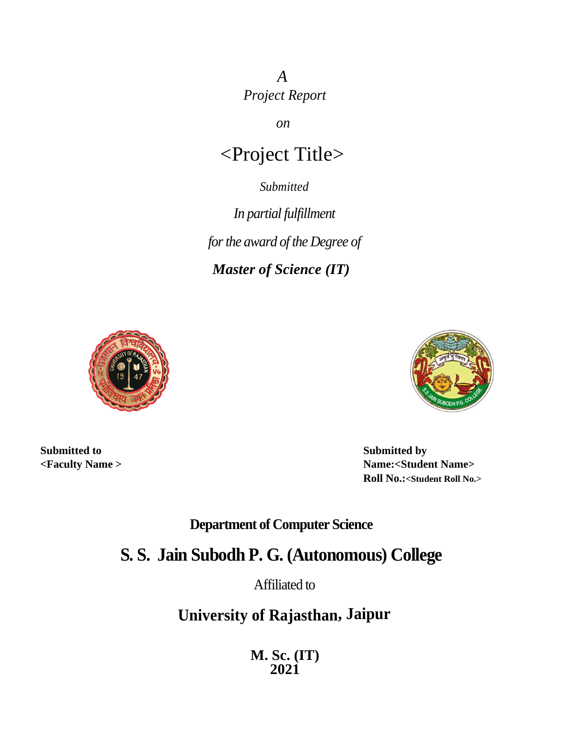*A Project Report*

*on*

# <Project Title>

*Submitted*

*In partial fulfillment for the award of the Degree of* 

*Master of Science (IT)*





**Submitted to <Faculty Name >**

**Submitted by Name:<Student Name> Roll No.:<Student Roll No.>**

**Department of Computer Science**

**S. S. Jain Subodh P. G. (Autonomous) College**

Affiliated to

**University of Rajasthan, Jaipur**

**M. Sc. (IT) 2021**